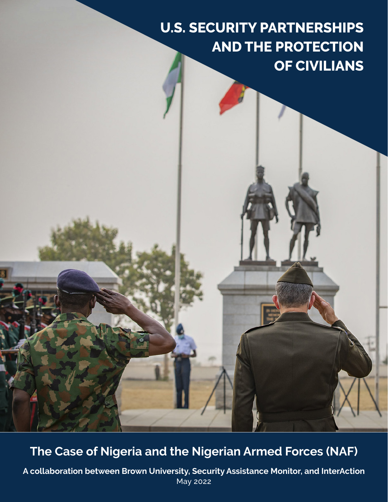# **U.S. SECURITY PARTNERSHIPS AND THE PROTECTION OF CIVILIANS**

## **The Case of Nigeria and the Nigerian Armed Forces (NAF)**

**A collaboration between Brown University, Security Assistance Monitor, and InterAction** May 2022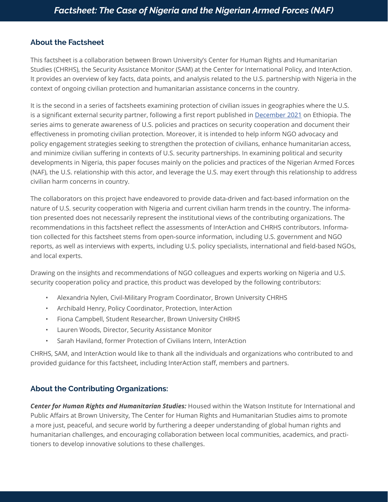#### **About the Factsheet**

This factsheet is a collaboration between Brown University's Center for Human Rights and Humanitarian Studies (CHRHS), the Security Assistance Monitor (SAM) at the Center for International Policy, and InterAction. It provides an overview of key facts, data points, and analysis related to the U.S. partnership with Nigeria in the context of ongoing civilian protection and humanitarian assistance concerns in the country.

It is the second in a series of factsheets examining protection of civilian issues in geographies where the U.S. is a significant external security partner, following a first report published in [December 2021](https://securityassistance.org/publications/u-s-security-partnership-and-the-protection-of-civilians/) on Ethiopia. The series aims to generate awareness of U.S. policies and practices on security cooperation and document their effectiveness in promoting civilian protection. Moreover, it is intended to help inform NGO advocacy and policy engagement strategies seeking to strengthen the protection of civilians, enhance humanitarian access, and minimize civilian suffering in contexts of U.S. security partnerships. In examining political and security developments in Nigeria, this paper focuses mainly on the policies and practices of the Nigerian Armed Forces (NAF), the U.S. relationship with this actor, and leverage the U.S. may exert through this relationship to address civilian harm concerns in country.

The collaborators on this project have endeavored to provide data-driven and fact-based information on the nature of U.S. security cooperation with Nigeria and current civilian harm trends in the country. The information presented does not necessarily represent the institutional views of the contributing organizations. The recommendations in this factsheet reflect the assessments of InterAction and CHRHS contributors. Information collected for this factsheet stems from open-source information, including U.S. government and NGO reports, as well as interviews with experts, including U.S. policy specialists, international and field-based NGOs, and local experts.

Drawing on the insights and recommendations of NGO colleagues and experts working on Nigeria and U.S. security cooperation policy and practice, this product was developed by the following contributors:

- Alexandria Nylen, Civil-Military Program Coordinator, Brown University CHRHS
- Archibald Henry, Policy Coordinator, Protection, InterAction
- Fiona Campbell, Student Researcher, Brown University CHRHS
- Lauren Woods, Director, Security Assistance Monitor
- Sarah Haviland, former Protection of Civilians Intern, InterAction

CHRHS, SAM, and InterAction would like to thank all the individuals and organizations who contributed to and provided guidance for this factsheet, including InterAction staff, members and partners.

#### **About the Contributing Organizations:**

*Center for Human Rights and Humanitarian Studies:* Housed within the Watson Institute for International and Public Affairs at Brown University, The Center for Human Rights and Humanitarian Studies aims to promote a more just, peaceful, and secure world by furthering a deeper understanding of global human rights and humanitarian challenges, and encouraging collaboration between local communities, academics, and practitioners to develop innovative solutions to these challenges.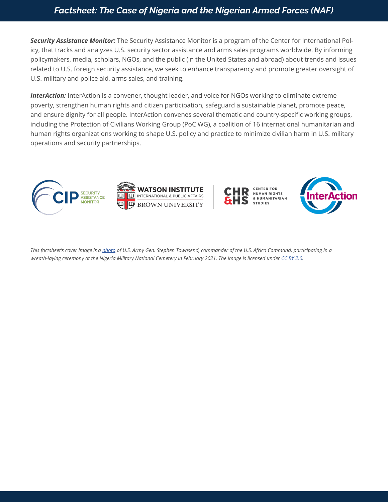*Security Assistance Monitor:* The Security Assistance Monitor is a program of the Center for International Policy, that tracks and analyzes U.S. security sector assistance and arms sales programs worldwide. By informing policymakers, media, scholars, NGOs, and the public (in the United States and abroad) about trends and issues related to U.S. foreign security assistance, we seek to enhance transparency and promote greater oversight of U.S. military and police aid, arms sales, and training.

*InterAction:* InterAction is a convener, thought leader, and voice for NGOs working to eliminate extreme poverty, strengthen human rights and citizen participation, safeguard a sustainable planet, promote peace, and ensure dignity for all people. InterAction convenes several thematic and country-specific working groups, including the Protection of Civilians Working Group (PoC WG), a coalition of 16 international humanitarian and human rights organizations working to shape U.S. policy and practice to minimize civilian harm in U.S. military operations and security partnerships.



*This factsheet's cover image is a [photo](https://www.flickr.com/photos/africom/51143236382/) of U.S. Army Gen. Stephen Townsend, commander of the U.S. Africa Command, participating in a*  wreath-laying ceremony at the Nigeria Military National Cemetery in February 2021. The image is licensed under [CC BY 2.0](https://creativecommons.org/licenses/by/2.0/).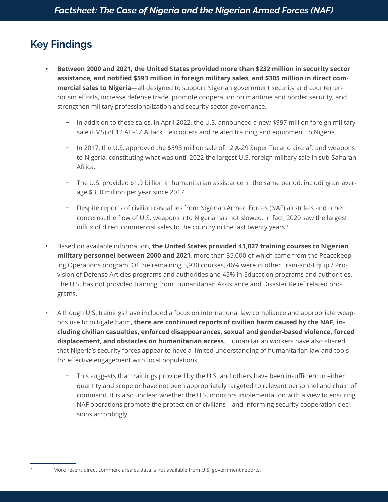### **Key Findings**

- **• Between 2000 and 2021, the United States provided more than \$232 million in security sector assistance, and notified \$593 million in foreign military sales, and \$305 million in direct commercial sales to Nigeria**—all designed to support Nigerian government security and counterterrorism efforts, increase defense trade, promote cooperation on maritime and border security, and strengthen military professionalization and security sector governance.
	- In addition to these sales, in April 2022, the U.S. announced a new \$997 million foreign military sale (FMS) of 12 AH-1Z Attack Helicopters and related training and equipment to Nigeria.
	- − In 2017, the U.S. approved the \$593 million sale of 12 A-29 Super Tucano aircraft and weapons to Nigeria, constituting what was until 2022 the largest U.S. foreign military sale in sub-Saharan Africa.
	- − The U.S. provided \$1.9 billion in humanitarian assistance in the same period, including an average \$350 million per year since 2017.
	- − Despite reports of civilian casualties from Nigerian Armed Forces (NAF) airstrikes and other concerns, the flow of U.S. weapons into Nigeria has not slowed. In fact, 2020 saw the largest influx of direct commercial sales to the country in the last twenty years.<sup>1</sup>
- Based on available information, **the United States provided 41,027 training courses to Nigerian military personnel between 2000 and 2021**, more than 35,000 of which came from the Peacekeeping Operations program. Of the remaining 5,930 courses, 46% were in other Train-and-Equip / Provision of Defense Articles programs and authorities and 45% in Education programs and authorities. The U.S. has not provided training from Humanitarian Assistance and Disaster Relief related programs.
- Although U.S. trainings have included a focus on international law compliance and appropriate weapons use to mitigate harm, **there are continued reports of civilian harm caused by the NAF, including civilian casualties, enforced disappearances, sexual and gender-based violence, forced displacement, and obstacles on humanitarian access**. Humanitarian workers have also shared that Nigeria's security forces appear to have a limited understanding of humanitarian law and tools for effective engagement with local populations.
	- This suggests that trainings provided by the U.S. and others have been insufficient in either quantity and scope or have not been appropriately targeted to relevant personnel and chain of command. It is also unclear whether the U.S. monitors implementation with a view to ensuring NAF operations promote the protection of civilians—and informing security cooperation decisions accordingly.

<sup>1</sup> More recent direct commercial sales data is not available from U.S. government reports.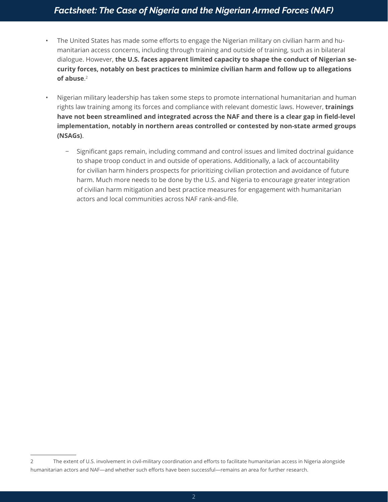- The United States has made some efforts to engage the Nigerian military on civilian harm and humanitarian access concerns, including through training and outside of training, such as in bilateral dialogue. However, **the U.S. faces apparent limited capacity to shape the conduct of Nigerian security forces, notably on best practices to minimize civilian harm and follow up to allegations of abuse**. 2
- Nigerian military leadership has taken some steps to promote international humanitarian and human rights law training among its forces and compliance with relevant domestic laws. However, **trainings have not been streamlined and integrated across the NAF and there is a clear gap in field-level implementation, notably in northern areas controlled or contested by non-state armed groups (NSAGs)**.
	- − Significant gaps remain, including command and control issues and limited doctrinal guidance to shape troop conduct in and outside of operations. Additionally, a lack of accountability for civilian harm hinders prospects for prioritizing civilian protection and avoidance of future harm. Much more needs to be done by the U.S. and Nigeria to encourage greater integration of civilian harm mitigation and best practice measures for engagement with humanitarian actors and local communities across NAF rank-and-file.

<sup>2</sup> The extent of U.S. involvement in civil-military coordination and efforts to facilitate humanitarian access in Nigeria alongside humanitarian actors and NAF—and whether such efforts have been successful—remains an area for further research.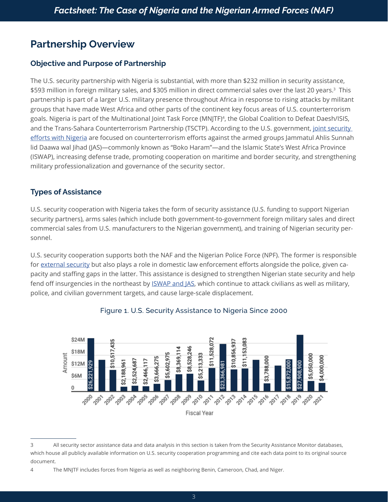### **Partnership Overview**

#### **Objective and Purpose of Partnership**

The U.S. security partnership with Nigeria is substantial, with more than \$232 million in security assistance, \$593 million in foreign military sales, and \$305 million in direct commercial sales over the last 20 years.<sup>3</sup> This partnership is part of a larger U.S. military presence throughout Africa in response to rising attacks by militant groups that have made West Africa and other parts of the continent key focus areas of U.S. counterterrorism goals. Nigeria is part of the Multinational Joint Task Force (MNJTF)4, the Global Coalition to Defeat Daesh/ISIS, and the Trans-Sahara Counterterrorism Partnership (TSCTP). According to the U.S. government, joint security [efforts with Nigeria](https://www.state.gov/u-s-security-cooperation-with-nigeria/) are focused on counterterrorism efforts against the armed groups Jammatul Ahlis Sunnah lid Daawa wal Jihad (JAS)—commonly known as "Boko Haram"—and the Islamic State's West Africa Province (ISWAP), increasing defense trade, promoting cooperation on maritime and border security, and strengthening military professionalization and governance of the security sector.

#### **Types of Assistance**

U.S. security cooperation with Nigeria takes the form of security assistance (U.S. funding to support Nigerian security partners), arms sales (which include both government-to-government foreign military sales and direct commercial sales from U.S. manufacturers to the Nigerian government), and training of Nigerian security personnel.

U.S. security cooperation supports both the NAF and the Nigerian Police Force (NPF). The former is responsible for [external security](https://www.state.gov/reports/2020-country-reports-on-human-rights-practices/nigeria/) but also plays a role in domestic law enforcement efforts alongside the police, given capacity and staffing gaps in the latter. This assistance is designed to strengthen Nigerian state security and help fend off insurgencies in the northeast by [ISWAP and JAS,](https://www.nytimes.com/2021/10/15/world/africa/nigeria-islamic-state-abu-musab-al-barnawi-dead.html) which continue to attack civilians as well as military, police, and civilian government targets, and cause large-scale displacement.





<sup>3</sup> All security sector assistance data and data analysis in this section is taken from the Security Assistance Monitor databases, which house all publicly available information on U.S. security cooperation programming and cite each data point to its original source document.

<sup>4</sup> The MNJTF includes forces from Nigeria as well as neighboring Benin, Cameroon, Chad, and Niger.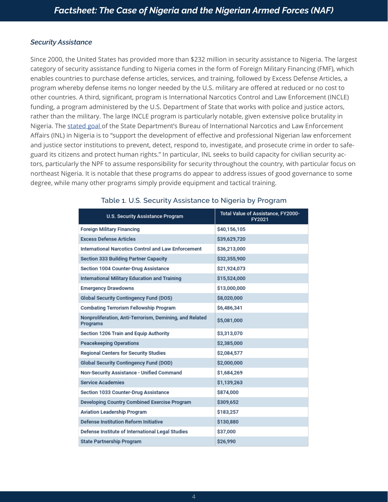#### *Security Assistance*

Since 2000, the United States has provided more than \$232 million in security assistance to Nigeria. The largest category of security assistance funding to Nigeria comes in the form of Foreign Military Financing (FMF), which enables countries to purchase defense articles, services, and training, followed by Excess Defense Articles, a program whereby defense items no longer needed by the U.S. military are offered at reduced or no cost to other countries. A third, significant, program is International Narcotics Control and Law Enforcement (INCLE) funding, a program administered by the U.S. Department of State that works with police and justice actors, rather than the military. The large INCLE program is particularly notable, given extensive police brutality in Nigeria. The [stated goal](https://www.state.gov/bureau-of-international-narcotics-and-law-enforcement-affairs-work-by-country/nigeria-summary/) of the State Department's Bureau of International Narcotics and Law Enforcement Affairs (INL) in Nigeria is to "support the development of effective and professional Nigerian law enforcement and justice sector institutions to prevent, detect, respond to, investigate, and prosecute crime in order to safeguard its citizens and protect human rights." In particular, INL seeks to build capacity for civilian security actors, particularly the NPF to assume responsibility for security throughout the country, with particular focus on northeast Nigeria. It is notable that these programs do appear to address issues of good governance to some degree, while many other programs simply provide equipment and tactical training.

| <b>U.S. Security Assistance Program</b>                             | Total Value of Assistance, FY2000-<br>FY2021 |  |  |  |  |
|---------------------------------------------------------------------|----------------------------------------------|--|--|--|--|
| <b>Foreign Military Financing</b>                                   | \$40,156,105                                 |  |  |  |  |
| <b>Excess Defense Articles</b>                                      | \$39,629,720                                 |  |  |  |  |
| International Narcotics Control and Law Enforcement                 | \$36,213,000                                 |  |  |  |  |
| Section 333 Building Partner Capacity                               | \$32,355,900                                 |  |  |  |  |
| Section 1004 Counter-Drug Assistance                                | \$21,924,073                                 |  |  |  |  |
| International Military Education and Training                       | \$15,524,000                                 |  |  |  |  |
| <b>Emergency Drawdowns</b>                                          | \$13,000,000                                 |  |  |  |  |
| <b>Global Security Contingency Fund (DOS)</b>                       | \$8,020,000                                  |  |  |  |  |
| <b>Combating Terrorism Fellowship Program</b>                       | \$6,486,341                                  |  |  |  |  |
| Nonproliferation, Anti-Terrorism, Demining, and Related<br>Programs | \$5,081,000                                  |  |  |  |  |
| Section 1206 Train and Equip Authority                              | \$3,313,070                                  |  |  |  |  |
| <b>Peacekeeping Operations</b>                                      | \$2,385,000                                  |  |  |  |  |
| <b>Regional Centers for Security Studies</b>                        | \$2,084,577                                  |  |  |  |  |
| <b>Global Security Contingency Fund (DOD)</b>                       | \$2,000,000                                  |  |  |  |  |
| Non-Security Assistance - Unified Command                           | \$1,684,269                                  |  |  |  |  |
| <b>Service Academies</b>                                            | \$1,139,263                                  |  |  |  |  |
| Section 1033 Counter-Drug Assistance                                | \$874,000                                    |  |  |  |  |
| Developing Country Combined Exercise Program                        | \$309,652                                    |  |  |  |  |
| <b>Aviation Leadership Program</b>                                  | \$183,257                                    |  |  |  |  |
| <b>Defense Institution Reform Initiative</b>                        | \$130,880                                    |  |  |  |  |
| Defense Institute of International Legal Studies                    | \$37,000                                     |  |  |  |  |
| <b>State Partnership Program</b>                                    | \$26,990                                     |  |  |  |  |

#### Table 1. U.S. Security Assistance to Nigeria by Program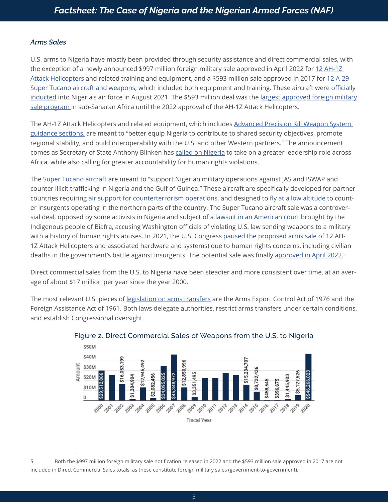#### *Arms Sales*

U.S. arms to Nigeria have mostly been provided through security assistance and direct commercial sales, with the exception of a newly announced \$997 million foreign military sale approved in April 2022 for 12 AH-1Z [Attack Helicopters](https://www.dsca.mil/press-media/major-arms-sales/nigeria-ah-1z-attack-helicopter-related-fms-acquisitions) and related training and equipment, and a \$593 million sale approved in 2017 for [12 A-29](https://www.dsca.mil/press-media/major-arms-sales/government-nigeria-29-super-tucano-aircraft-weapons-and-associated)  [Super Tucano aircraft and weapons,](https://www.dsca.mil/press-media/major-arms-sales/government-nigeria-29-super-tucano-aircraft-weapons-and-associated) which included both equipment and training. These aircraft were [officially](https://www.africom.mil/pressrelease/33984/us-made-a-29-super-tucano-aircraft-officially-inducted-into-nigerian-air-force)  [inducted](https://www.africom.mil/pressrelease/33984/us-made-a-29-super-tucano-aircraft-officially-inducted-into-nigerian-air-force) into Nigeria's air force in August 2021. The \$593 million deal was the largest approved foreign military [sale program](https://www.africom.mil/pressrelease/33984/us-made-a-29-super-tucano-aircraft-officially-inducted-into-nigerian-air-force) in sub-Saharan Africa until the 2022 approval of the AH-1Z Attack Helicopters.

The AH-1Z Attack Helicopters and related equipment, which includes [Advanced Precision Kill Weapon System](https://www.dsca.mil/press-media/major-arms-sales/nigeria-ah-1z-attack-helicopter-related-fms-acquisitions)  [guidance sections,](https://www.dsca.mil/press-media/major-arms-sales/nigeria-ah-1z-attack-helicopter-related-fms-acquisitions) are meant to "better equip Nigeria to contribute to shared security objectives, promote regional stability, and build interoperability with the U.S. and other Western partners." The announcement comes as Secretary of State Anthony Blinken has [called on Nigeria](https://guardian.ng/news/blinken-urges-greater-role-and-accountability-for-nigeria/?msclkid=77db1af4c71611ecabce56af7ecddf3f) to take on a greater leadership role across Africa, while also calling for greater accountability for human rights violations.

The [Super Tucano aircraft](https://www.state.gov/u-s-security-cooperation-with-nigeria/) are meant to "support Nigerian military operations against JAS and ISWAP and counter illicit trafficking in Nigeria and the Gulf of Guinea." These aircraft are specifically developed for partner countries requiring [air support for counterterrorism operations](https://nationalinterest.org/blog/the-buzz/5-reasons-why-selling-the-embraer-29-super-tucano-attack-18467), and designed to [fly at a low altitude](https://www.cfr.org/blog/taliban-capture-super-tucano-highlights-risk-nigeria) to counter insurgents operating in the northern parts of the country. The Super Tucano aircraft sale was a controversial deal, opposed by some activists in Nigeria and subject of a [lawsuit in an American court](https://www.washingtonpost.com/world/2021/08/06/nigeria-biafra-separatists-lawsuit-blinken) brought by the Indigenous people of Biafra, accusing Washington officials of violating U.S. law sending weapons to a military with a history of human rights abuses. In 2021, the U.S. Congress [paused the proposed arms sale](https://www.reuters.com/world/africa/proposed-us-arms-sale-nigeria-hold-over-human-rights-concerns-sources-2021-07-29/) of 12 AH-1Z Attack Helicopters and associated hardware and systems) due to human rights concerns, including civilian deaths in the government's battle against insurgents. The potential sale was finally <u>approved in April 2022</u>.<sup>5</sup>

Direct commercial sales from the U.S. to Nigeria have been steadier and more consistent over time, at an average of about \$17 million per year since the year 2000.

The most relevant U.S. pieces of [legislation on arms transfers](https://www.americanbar.org/content/dam/aba/administrative/human_rights/us-law-and-arms-transfers-2022.pdf) are the Arms Export Control Act of 1976 and the Foreign Assistance Act of 1961. Both laws delegate authorities, restrict arms transfers under certain conditions, and establish Congressional oversight.





<sup>5</sup> Both the \$997 million foreign military sale notification released in 2022 and the \$593 million sale approved in 2017 are not included in Direct Commercial Sales totals, as these constitute foreign military sales (government-to-government).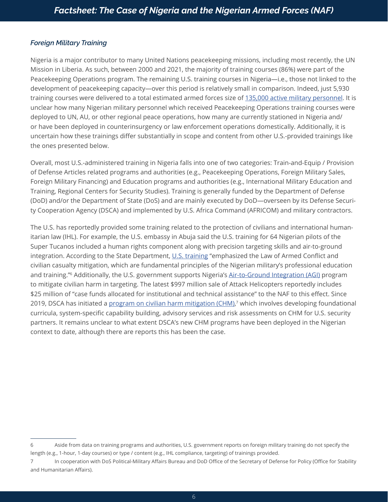#### *Foreign Military Training*

Nigeria is a major contributor to many United Nations peacekeeping missions, including most recently, the UN Mission in Liberia. As such, between 2000 and 2021, the majority of training courses (86%) were part of the Peacekeeping Operations program. The remaining U.S. training courses in Nigeria—i.e., those not linked to the development of peacekeeping capacity—over this period is relatively small in comparison. Indeed, just 5,930 training courses were delivered to a total estimated armed forces size of [135,000 active military personnel.](https://www.globalfirepower.com/country-military-strength-detail.php?country_id=nigeria) It is unclear how many Nigerian military personnel which received Peacekeeping Operations training courses were deployed to UN, AU, or other regional peace operations, how many are currently stationed in Nigeria and/ or have been deployed in counterinsurgency or law enforcement operations domestically. Additionally, it is uncertain how these trainings differ substantially in scope and content from other U.S.-provided trainings like the ones presented below.

Overall, most U.S.-administered training in Nigeria falls into one of two categories: Train-and-Equip / Provision of Defense Articles related programs and authorities (e.g., Peacekeeping Operations, Foreign Military Sales, Foreign Military Financing) and Education programs and authorities (e.g., International Military Education and Training, Regional Centers for Security Studies). Training is generally funded by the Department of Defense (DoD) and/or the Department of State (DoS) and are mainly executed by DoD—overseen by its Defense Security Cooperation Agency (DSCA) and implemented by U.S. Africa Command (AFRICOM) and military contractors.

The U.S. has reportedly provided some training related to the protection of civilians and international humanitarian law (IHL). For example, the U.S. embassy in Abuja said the U.S. training for 64 Nigerian pilots of the Super Tucanos included a human rights component along with precision targeting skills and air-to-ground integration. According to the State Department, [U.S. training](https://ng.usembassy.gov/u-s-made-a-29-super-tucano-aircraft-officially-inducted-into-nigerian-air-force/) "emphasized the Law of Armed Conflict and civilian casualty mitigation, which are fundamental principles of the Nigerian military's professional education and training."<sup>6</sup> Additionally, the U.S. government supports Nigeria's [Air-to-Ground Integration \(AGI\)](https://www.state.gov/u-s-security-cooperation-with-nigeria/) program to mitigate civilian harm in targeting. The latest \$997 million sale of Attack Helicopters reportedly includes \$25 million of "case funds allocated for institutional and technical assistance" to the NAF to this effect. Since 2019, DSCA has initiated a <u>program on civilian harm mitigation (CHM)</u>,<sup>7</sup> which involves developing foundational curricula, system-specific capability building, advisory services and risk assessments on CHM for U.S. security partners. It remains unclear to what extent DSCA's new CHM programs have been deployed in the Nigerian context to date, although there are reports this has been the case.

<sup>6</sup> Aside from data on training programs and authorities, U.S. government reports on foreign military training do not specify the length (e.g., 1-hour, 1-day courses) or type / content (e.g., IHL compliance, targeting) of trainings provided.

<sup>7</sup> In cooperation with DoS Political-Military Affairs Bureau and DoD Office of the Secretary of Defense for Policy (Office for Stability and Humanitarian Affairs).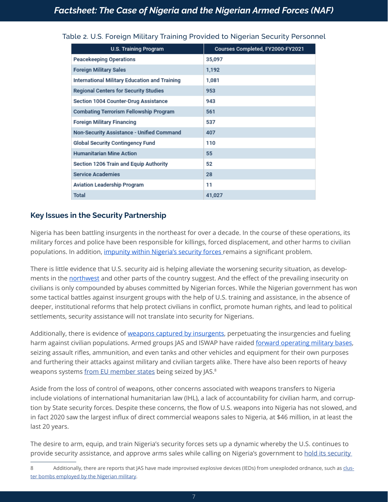| <b>U.S. Training Program</b>                  | Courses Completed, FY2000-FY2021 |
|-----------------------------------------------|----------------------------------|
| <b>Peacekeeping Operations</b>                | 35,097                           |
| <b>Foreign Military Sales</b>                 | 1,192                            |
| International Military Education and Training | 1,081                            |
| <b>Regional Centers for Security Studies</b>  | 953                              |
| Section 1004 Counter-Drug Assistance          | 943                              |
| <b>Combating Terrorism Fellowship Program</b> | 561                              |
| <b>Foreign Military Financing</b>             | 537                              |
| Non-Security Assistance - Unified Command     | 407                              |
| <b>Global Security Contingency Fund</b>       | 110                              |
| <b>Humanitarian Mine Action</b>               | 55                               |
| Section 1206 Train and Equip Authority        | 52                               |
| <b>Service Academies</b>                      | 28                               |
| Aviation Leadership Program                   | 11                               |
| <b>Total</b>                                  | 41,027                           |

#### Table 2. U.S. Foreign Military Training Provided to Nigerian Security Personnel

#### **Key Issues in the Security Partnership**

Nigeria has been battling insurgents in the northeast for over a decade. In the course of these operations, its military forces and police have been responsible for killings, forced displacement, and other harms to civilian populations. In addition, *impunity within Nigeria's security forces* remains a significant problem.

There is little evidence that U.S. security aid is helping alleviate the worsening security situation, as developments in the [northwest](https://www.brookings.edu/blog/africa-in-focus/2021/02/18/rising-insecurity-in-northwest-nigeria-terrorism-thinly-disguised-as-banditry) and other parts of the country suggest. And the effect of the prevailing insecurity on civilians is only compounded by abuses committed by Nigerian forces. While the Nigerian government has won some tactical battles against insurgent groups with the help of U.S. training and assistance, in the absence of deeper, institutional reforms that help protect civilians in conflict, promote human rights, and lead to political settlements, security assistance will not translate into security for Nigerians.

Additionally, there is evidence of [weapons captured by insurgents,](https://theworld.org/stories/2019-04-19/how-stolen-weapons-keep-groups-boko-haram-business) perpetuating the insurgencies and fueling harm against civilian populations. Armed groups JAS and ISWAP have raided [forward operating military bases,](https://www.cfr.org/blog/boko-haram-capture-military-equipment-fuels-lake-chad-insurgency) seizing assault rifles, ammunition, and even tanks and other vehicles and equipment for their own purposes and furthering their attacks against military and civilian targets alike. There have also been reports of heavy weapons systems [from EU member states](https://ipisresearch.be/publication/the-management-of-lethal-materiel-in-conflict-settings-existing-challenges-and-opportunities-for-the-european-peace-facility/) being seized by JAS.<sup>8</sup>

Aside from the loss of control of weapons, other concerns associated with weapons transfers to Nigeria include violations of international humanitarian law (IHL), a lack of accountability for civilian harm, and corruption by State security forces. Despite these concerns, the flow of U.S. weapons into Nigeria has not slowed, and in fact 2020 saw the largest influx of direct commercial weapons sales to Nigeria, at \$46 million, in at least the last 20 years.

The desire to arm, equip, and train Nigeria's security forces sets up a dynamic whereby the U.S. continues to provide security assistance, and approve arms sales while calling on Nigeria's government to hold its security

<sup>8</sup> Additionally, there are reports that JAS have made improvised explosive devices (IEDs) from unexploded ordnance, such as [clus](https://www.yahoo.com/news/boko-haram-cluster-bombs-may-come-nigerian-military-112651761.html?ref=gs)[ter bombs employed by the Nigerian military](https://www.yahoo.com/news/boko-haram-cluster-bombs-may-come-nigerian-military-112651761.html?ref=gs).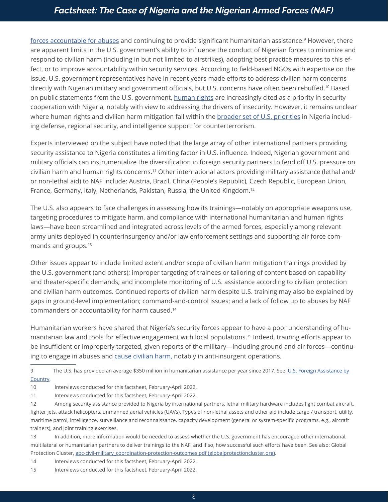[forces accountable for abuses](https://guardian.ng/news/blinken-urges-greater-role-and-accountability-for-nigeria/) and continuing to provide significant humanitarian assistance.<sup>9</sup> However, there are apparent limits in the U.S. government's ability to influence the conduct of Nigerian forces to minimize and respond to civilian harm (including in but not limited to airstrikes), adopting best practice measures to this effect, or to improve accountability within security services. According to field-based NGOs with expertise on the issue, U.S. government representatives have in recent years made efforts to address civilian harm concerns directly with Nigerian military and government officials, but U.S. concerns have often been rebuffed.10 Based on public statements from the U.S. government, [human rights](https://www.theafricareport.com/148600/nigeria-us-can-blinken-repair-trump-era-damage-while-pushing-for-improvement-from-abuja/) are increasingly cited as a priority in security cooperation with Nigeria, notably with view to addressing the drivers of insecurity. However, it remains unclear where human rights and civilian harm mitigation fall within the [broader set of U.S. priorities](https://www.reuters.com/article/nigeria-usa-blinken-idAFW1N2QI047?msclkid=7766dfafc71711ec829228e488b0327d) in Nigeria including defense, regional security, and intelligence support for counterterrorism.

Experts interviewed on the subject have noted that the large array of other international partners providing security assistance to Nigeria constitutes a limiting factor in U.S. influence. Indeed, Nigerian government and military officials can instrumentalize the diversification in foreign security partners to fend off U.S. pressure on civilian harm and human rights concerns.11 Other international actors providing military assistance (lethal and/ or non-lethal aid) to NAF include: Austria, Brazil, China (People's Republic), Czech Republic, European Union, France, Germany, Italy, Netherlands, Pakistan, Russia, the United Kingdom.<sup>12</sup>

The U.S. also appears to face challenges in assessing how its trainings—notably on appropriate weapons use, targeting procedures to mitigate harm, and compliance with international humanitarian and human rights laws—have been streamlined and integrated across levels of the armed forces, especially among relevant army units deployed in counterinsurgency and/or law enforcement settings and supporting air force commands and groups.13

Other issues appear to include limited extent and/or scope of civilian harm mitigation trainings provided by the U.S. government (and others); improper targeting of trainees or tailoring of content based on capability and theater-specific demands; and incomplete monitoring of U.S. assistance according to civilian protection and civilian harm outcomes. Continued reports of civilian harm despite U.S. training may also be explained by gaps in ground-level implementation; command-and-control issues; and a lack of follow up to abuses by NAF commanders or accountability for harm caused.<sup>14</sup>

Humanitarian workers have shared that Nigeria's security forces appear to have a poor understanding of humanitarian law and tools for effective engagement with local populations.<sup>15</sup> Indeed, training efforts appear to be insufficient or improperly targeted, given reports of the military—including ground and air forces—continuing to engage in abuses and [cause civilian harm,](https://www.reuters.com/world/africa/nigerian-military-says-air-strike-hit-islamic-state-playing-down-alleged-2021-09-30/) notably in anti-insurgent operations.

14 Interviews conducted for this factsheet, February-April 2022.

<sup>9</sup> The U.S. has provided an average \$350 million in humanitarian assistance per year since 2017. See: U.S. Foreign Assistance by [Country.](https://foreignassistance.gov/cd/nigeria/2017/obligations/0)

<sup>10</sup> Interviews conducted for this factsheet, February-April 2022.

<sup>11</sup> Interviews conducted for this factsheet, February-April 2022.

<sup>12</sup> Among security assistance provided to Nigeria by international partners, lethal military hardware includes light combat aircraft, fighter jets, attack helicopters, unmanned aerial vehicles (UAVs). Types of non-lethal assets and other aid include cargo / transport, utility, maritime patrol, intelligence, surveillance and reconnaissance, capacity development (general or system-specific programs, e.g., aircraft trainers), and joint training exercises.

<sup>13</sup> In addition, more information would be needed to assess whether the U.S. government has encouraged other international, multilateral or humanitarian partners to deliver trainings to the NAF, and if so, how successful such efforts have been. See also: Global Protection Cluster, [gpc-civil-military\\_coordination-protection-outcomes.pdf \(globalprotectioncluster.org\)](https://nam10.safelinks.protection.outlook.com/?url=https%3A%2F%2Fwww.globalprotectioncluster.org%2F_assets%2Ffiles%2Fgpc-civil-military_coordination-protection-outcomes.pdf&data=05%7C01%7Cashenry%40interaction.org%7Cc7634df5cd1242b8818508da2e02fd63%7C1d364442a49d4c2198dc328a914d38a5%7C0%7C0%7C637872887618251926%7CUnknown%7CTWFpbGZsb3d8eyJWIjoiMC4wLjAwMDAiLCJQIjoiV2luMzIiLCJBTiI6Ik1haWwiLCJXVCI6Mn0%3D%7C3000%7C%7C%7C&sdata=%2FKOzjR6oG6pAb9CFBoFYe2JWdzxm1gMafo3wFC8p%2BiQ%3D&reserved=0).

<sup>15</sup> Interviews conducted for this factsheet, February-April 2022.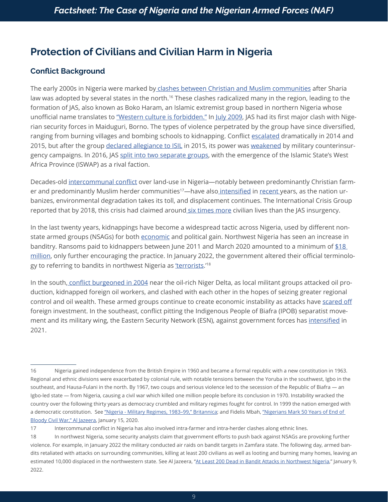### **Protection of Civilians and Civilian Harm in Nigeria**

#### **Conflict Background**

The early 2000s in Nigeria were marked b[y clashes between Christian and Muslim communities](https://www.aljazeera.com/features/2021/11/28/horrors-on-the-plateau-inside-nigerias-farmer-herder-conflict) after Sharia law was adopted by several states in the north.<sup>16</sup> These clashes radicalized many in the region, leading to the formation of JAS, also known as Boko Haram, an Islamic extremist group based in northern Nigeria whose unofficial name translates to ["Western culture is forbidden."](https://sgp.fas.org/crs/row/IF10173.pdf) In [July 2009](https://www.cfr.org/backgrounder/nigerias-battle-boko-haram), JAS had its first major clash with Nigerian security forces in Maiduguri, Borno. The types of violence perpetrated by the group have since diversified, ranging from burning villages and bombing schools to kidnapping. Conflict [escalated](https://www.cfr.org/backgrounder/nigerias-battle-boko-haram) dramatically in 2014 and 2015, but after the group [declared allegiance to ISIL](https://sgp.fas.org/crs/row/IF10173.pdf) in 2015, its power was [weakened](https://carnegieendowment.org/2019/05/03/stabilizing-northeast-nigeria-after-boko-haram-pub-79042) by military counterinsurgency campaigns. In 2016, JAS [split into two separate groups,](https://euaa.europa.eu/country-guidance-nigeria/121-boko-haram-including-jas-and-isis-wa) with the emergence of the Islamic State's West Africa Province (ISWAP) as a rival faction.

Decades-old [intercommunal conflict](https://www.crisisgroup.org/africa/west-africa/nigeria/302-ending-nigerias-herder-farmer-crisis-livestock-reform-plan) over land-use in Nigeria—notably between predominantly Christian farmer and predominantly Muslim herder communities<sup>17</sup>—have also [intensified](https://www.aljazeera.com/features/2021/11/28/horrors-on-the-plateau-inside-nigerias-farmer-herder-conflict) in [recent](https://www.aljazeera.com/news/2021/12/22/nigeria-ethnic-violence-toll-jumps-to-45) years, as the nation urbanizes, environmental degradation takes its toll, and displacement continues. The International Crisis Group reported that by 2018, this crisis had claimed around [six times more](https://www.crisisgroup.org/africa/west-africa/nigeria/262-stopping-nigerias-spiralling-farmer-herder-violence) civilian lives than the JAS insurgency.

In the last twenty years, kidnappings have become a widespread tactic across Nigeria, used by different nonstate armed groups (NSAGs) for both [economic](https://www.sbmintel.com/wp-content/uploads/2020/05/202005_Nigeria-Kidnap.pdf) and political gain. Northwest Nigeria has seen an increase in banditry. Ransoms paid to kidnappers between June 2011 and March 2020 amounted to a minimum of [\\$18](https://www.sbmintel.com/wp-content/uploads/2020/05/202005_Nigeria-Kidnap.pdf)  [million](https://www.sbmintel.com/wp-content/uploads/2020/05/202005_Nigeria-Kidnap.pdf), only further encouraging the practice. In January 2022, the government altered their official terminology to referring to bandits in northwest Nigeria as ['terrorists.](https://www.aljazeera.com/news/2022/1/6/nigeria-labels-bandit-gangs-terrorists-in-bid-to-stem-violence)'18

In the south, [conflict burgeoned in 2004](https://www.hrw.org/legacy/backgrounder/africa/nigeria0205/nigeria0205.pdf) near the oil-rich Niger Delta, as local militant groups attacked oil production, kidnapped foreign oil workers, and clashed with each other in the hopes of seizing greater regional control and oil wealth. These armed groups continue to create economic instability as attacks have [scared off](https://www.cfr.org/backgrounder/nigerias-battle-boko-haram) foreign investment. In the southeast, conflict pitting the Indigenous People of Biafra (IPOB) separatist movement and its military wing, the Eastern Security Network (ESN), against government forces has [intensified](https://www.cfr.org/blog/security-deteriorating-nigerias-former-biafra) in 2021.

17 Intercommunal conflict in Nigeria has also involved intra-farmer and intra-herder clashes along ethnic lines.

<sup>16</sup> Nigeria gained independence from the British Empire in 1960 and became a formal republic with a new constitution in 1963. Regional and ethnic divisions were exacerbated by colonial rule, with notable tensions between the Yoruba in the southwest, Igbo in the southeast, and Hausa-Fulani in the north. By 1967, two coups and serious violence led to the secession of the Republic of Biafra — an Igbo-led state — from Nigeria, causing a civil war which killed one million people before its conclusion in 1970. Instability wracked the country over the following thirty years as democracy crumbled and military regimes fought for control. In 1999 the nation emerged with a democratic constitution. See ["Nigeria - Military Regimes, 1983–99," Britannica;](https://www.zotero.org/google-docs/?q98dYv) and Fidelis Mbah, "Nigerians Mark 50 Years of End of [Bloody Civil War," Al Jazeera](https://www.zotero.org/google-docs/?zITCD4), January 15, 2020.

<sup>18</sup> In northwest Nigeria, some security analysts claim that government efforts to push back against NSAGs are provoking further violence. For example, in January 2022 the military conducted air raids on bandit targets in Zamfara state. The following day, armed bandits retaliated with attacks on surrounding communities, killing at least 200 civilians as well as looting and burning many homes, leaving an estimated 10,000 displaced in the northwestern state. See Al Jazeera, "[At Least 200 Dead in Bandit Attacks in Northwest Nigeria,](https://www.aljazeera.com/news/2022/1/9/about-200-dead-in-bandit-attacks-in-northwest-nigeria-residents#:~:text=An%20estimated%20200%20people%20were,than%20200%20bodies%20were%20buried)" January 9, 2022.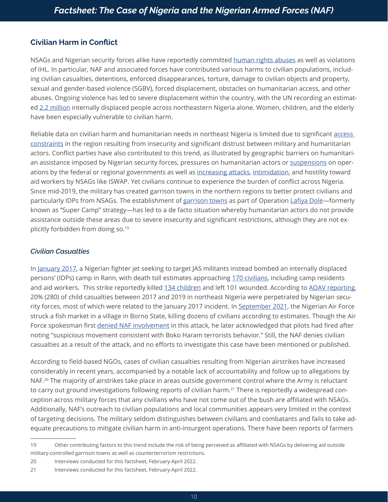#### **Civilian Harm in Conflict**

NSAGs and Nigerian security forces alike have reportedly committed [human rights abuses](https://www.hrw.org/news/2012/10/11/nigeria-boko-haram-attacks-likely-crimes-against-humanity) as well as violations of IHL. In particular, NAF and associated forces have contributed various harms to civilian populations, including civilian casualties, detentions, enforced disappearances, torture, damage to civilian objects and property, sexual and gender-based violence (SGBV), forced displacement, obstacles on humanitarian access, and other abuses. Ongoing violence has led to severe displacement within the country, with the UN recording an estimat-ed [2.2 million](https://reliefweb.int/sites/reliefweb.int/files/resources/ocha_nga_humanitarian_response_plan_feb2021.pdf) internally displaced people across northeastern Nigeria alone. Women, children, and the elderly have been especially vulnerable to civilian harm.

Reliable data on civilian harm and humanitarian needs in northeast Nigeria is limited due to significant [access](https://csis-website-prod.s3.amazonaws.com/s3fs-public/publication/Kurtzer_OutOfSight.pdf)  [constraints](https://csis-website-prod.s3.amazonaws.com/s3fs-public/publication/Kurtzer_OutOfSight.pdf) in the region resulting from insecurity and significant distrust between military and humanitarian actors. Conflict parties have also contributed to this trend, as illustrated by geographic barriers on humanitarian assistance imposed by Nigerian security forces, pressures on humanitarian actors or [suspensions](https://guardian.ng/news/nigeria/french-aid-group-in-ne-nigeria-group-says-staff-never-armed-after-suspension/) on operations by the federal or regional governments as well as [increasing attacks](https://www.thenewhumanitarian.org/news/2021/3/5/nigeria-aid-tigray-access-and-UN-cronyism-cheat-sheet), [intimidation,](https://reliefweb.int/report/nigeria/weekend-attack-effort-intimidate-humanitarian-actors) and hostility toward aid workers by NSAGs like ISWAP. Yet civilians continue to experience the burden of conflict across Nigeria. Since mid-2019, the military has created garrison towns in the northern regions to better protect civilians and particularly IDPs from NSAGs. The establishment of [garrison towns](https://reliefweb.int/report/nigeria/nigeria-2021-humanitarian-response-plan-february-2021) as part of Operation [Lafiya Dole](https://www.channelstv.com/2021/04/30/army-renames-northeasts-operation-lafiya-dole/)—formerly known as "Super Camp" strategy—has led to a de facto situation whereby humanitarian actors do not provide assistance outside these areas due to severe insecurity and significant restrictions, although they are not explicitly forbidden from doing so.19

#### *Civilian Casualties*

In [January 2017](https://www.nytimes.com/2017/01/17/world/africa/nigerian-jet-mistakenly-bombs-refugee-camp-killing-dozens.html), a Nigerian fighter jet seeking to target JAS militants instead bombed an internally displaced persons' (IDPs) camp in Rann, with death toll estimates approaching [170 civilians](https://www.nytimes.com/2017/01/20/world/africa/nigeria-refugee-camp-bombing.html), including camp residents and aid workers. This strike reportedly killed [134 children](https://aoav.org.uk/2020/the-impact-of-explosive-weapons-on-children-in-nigeria/) and left 101 wounded. According to [AOAV reporting](https://aoav.org.uk/2020/the-impact-of-explosive-weapons-on-children-in-nigeria/), 20% (280) of child casualties between 2017 and 2019 in northeast Nigeria were perpetrated by Nigerian security forces, most of which were related to the January 2017 incident. In [September 2021,](https://www.reuters.com/world/africa/nigerian-air-force-kills-dozens-civilians-northeast-sources-2021-09-28/) the Nigerian Air Force struck a fish market in a village in Borno State, killing dozens of civilians according to estimates. Though the Air Force spokesman first [denied NAF involvement](https://www.washingtonpost.com/world/2021/09/16/nigeria-airstrike-civilians/) in this attack, he later acknowledged that pilots had fired after noting "suspicious movement consistent with Boko Haram terrorists behavior." Still, the NAF denies civilian casualties as a result of the attack, and no efforts to investigate this case have been mentioned or published.

According to field-based NGOs, cases of civilian casualties resulting from Nigerian airstrikes have increased considerably in recent years, accompanied by a notable lack of accountability and follow up to allegations by NAF.<sup>20</sup> The majority of airstrikes take place in areas outside government control where the Army is reluctant to carry out ground investigations following reports of civilian harm.<sup>21</sup> There is reportedly a widespread conception across military forces that any civilians who have not come out of the bush are affiliated with NSAGs. Additionally, NAF's outreach to civilian populations and local communities appears very limited in the context of targeting decisions. The military seldom distinguishes between civilians and combatants and fails to take adequate precautions to mitigate civilian harm in anti-insurgent operations. There have been reports of farmers

<sup>19</sup> Other contributing factors to this trend include the risk of being perceived as affiliated with NSAGs by delivering aid outside military-controlled garrison towns as well as counterterrorism restrictions.

<sup>20</sup> Interviews conducted for this factsheet, February-April 2022.

<sup>21</sup> Interviews conducted for this factsheet, February-April 2022.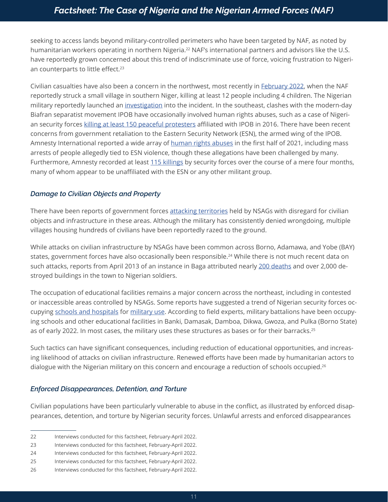seeking to access lands beyond military-controlled perimeters who have been targeted by NAF, as noted by humanitarian workers operating in northern Nigeria.22 NAF's international partners and advisors like the U.S. have reportedly grown concerned about this trend of indiscriminate use of force, voicing frustration to Nigerian counterparts to little effect.<sup>23</sup>

Civilian casualties have also been a concern in the northwest, most recently in **February 2022**, when the NAF reportedly struck a small village in southern Niger, killing at least 12 people including 4 children. The Nigerian military reportedly launched an [investigation](https://civiliansinconflict.org/press-releases/airstrike-on-niger-nigeria-border/) into the incident. In the southeast, clashes with the modern-day Biafran separatist movement IPOB have occasionally involved human rights abuses, such as a case of Nigerian security forces [killing at least 150 peaceful protesters](https://www.amnesty.org/en/latest/news/2016/11/peaceful-pro-biafra-activists-killed-in-chilling-crackdown/) affiliated with IPOB in 2016. There have been recent concerns from government retaliation to the Eastern Security Network (ESN), the armed wing of the IPOB. Amnesty International reported a wide array of [human rights abuses](https://www.amnesty.org/en/latest/news/2021/08/nigeria-at-least-115-people-killed-by-security-forces-in-four-months-in-countrys-southeast/) in the first half of 2021, including mass arrests of people allegedly tied to ESN violence, though these allegations have been challenged by many. Furthermore, Amnesty recorded at least [115 killings](https://www.amnesty.org/en/latest/news/2021/08/nigeria-at-least-115-people-killed-by-security-forces-in-four-months-in-countrys-southeast/) by security forces over the course of a mere four months, many of whom appear to be unaffiliated with the ESN or any other militant group.

#### *Damage to Civilian Objects and Property*

There have been reports of government forces [attacking territories](https://www.reuters.com/article/us-nigeria-security-amnesty/nigerias-military-razed-villages-in-war-on-islamist-insurgents-amnesty-international-idUSKBN208009) held by NSAGs with disregard for civilian objects and infrastructure in these areas. Although the military has consistently denied wrongdoing, multiple villages housing hundreds of civilians have been reportedly razed to the ground.

While attacks on civilian infrastructure by NSAGs have been common across Borno, Adamawa, and Yobe (BAY) states, government forces have also occasionally been responsible.<sup>24</sup> While there is not much recent data on such attacks, reports from April 2013 of an instance in Baga attributed nearly [200 deaths](https://www.hrw.org/news/2013/05/01/nigeria-massive-destruction-deaths-military-raid) and over 2,000 destroyed buildings in the town to Nigerian soldiers.

The occupation of educational facilities remains a major concern across the northeast, including in contested or inaccessible areas controlled by NSAGs. Some reports have suggested a trend of Nigerian security forces occupying [schools and hospitals](https://odihpn.org/magazine/integrating-civilian-protection-into-nigerian-military-policy-and-practice/) for [military](https://www.hrw.org/node/288584/printable/print) use. According to field experts, military battalions have been occupying schools and other educational facilities in Banki, Damasak, Damboa, Dikwa, Gwoza, and Pulka (Borno State) as of early 2022. In most cases, the military uses these structures as bases or for their barracks.<sup>25</sup>

Such tactics can have significant consequences, including reduction of educational opportunities, and increasing likelihood of attacks on civilian infrastructure. Renewed efforts have been made by humanitarian actors to dialogue with the Nigerian military on this concern and encourage a reduction of schools occupied.<sup>26</sup>

#### *Enforced Disappearances, Detention, and Torture*

Civilian populations have been particularly vulnerable to abuse in the conflict, as illustrated by enforced disappearances, detention, and torture by Nigerian security forces. Unlawful arrests and enforced disappearances

<sup>22</sup> Interviews conducted for this factsheet, February-April 2022.

<sup>23</sup> Interviews conducted for this factsheet, February-April 2022.

<sup>24</sup> Interviews conducted for this factsheet, February-April 2022.

<sup>25</sup> Interviews conducted for this factsheet, February-April 2022.

<sup>26</sup> Interviews conducted for this factsheet, February-April 2022.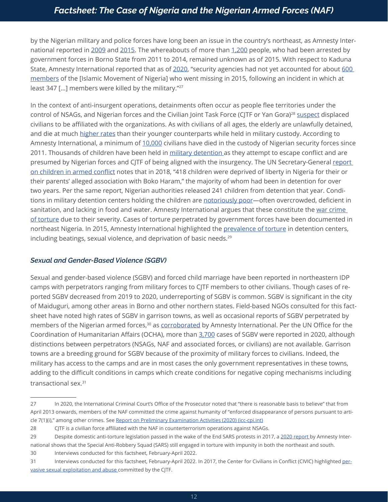by the Nigerian military and police forces have long been an issue in the country's northeast, as Amnesty International reported in [2009](https://www.amnesty.org/en/documents/afr44/038/2009/en/) and [2015.](https://www.amnestyusa.org/files/report.compressed.pdf) The whereabouts of more than [1,200](https://www.amnestyusa.org/files/report.compressed.pdf) people, who had been arrested by government forces in Borno State from 2011 to 2014, remained unknown as of 2015. With respect to Kaduna State, Amnesty International reported that as of [2020](https://www.amnestyusa.org/countries/nigeria/), "security agencies had not yet accounted for about [600](https://www.amnestyusa.org/countries/nigeria/)  [members](https://www.amnestyusa.org/countries/nigeria/) of the [Islamic Movement of Nigeria] who went missing in 2015, following an incident in which at least 347 [...] members were killed by the military."<sup>27</sup>

In the context of anti-insurgent operations, detainments often occur as people flee territories under the control of NSAGs, and Nigerian forces and the Civilian Joint Task Force (CJTF or Yan Gora)<sup>28</sup> [suspect](https://civiliansinconflict.org/wp-content/uploads/2018/06/2018.06.CJTF-Report.Africa-Program.Web_..pdf) displaced civilians to be affiliated with the organizations. As with civilians of all ages, the elderly are unlawfully detained, and die at much [higher rates](https://www.amnesty.org/en/latest/news/2020/12/nigeria-older-people-often-an-invisible-casualty-in-conflict-with-boko-haram/) than their younger counterparts while held in military custody. According to Amnesty International, a minimum of [10,000](https://www.amnesty.org/en/latest/news/2020/12/nigeria-older-people-often-an-invisible-casualty-in-conflict-with-boko-haram/) civilians have died in the custody of Nigerian security forces since 2011. Thousands of children have been held in [military detention](https://www.amnesty.org/en/latest/news/2020/05/nigeria-help-children-ravaged-by-war-or-risk-a-lost-generation-in-the-northeast/) as they attempt to escape conflict and are presumed by Nigerian forces and CJTF of being aligned with the insurgency. The UN Secretary-General [report](https://www.un.org/ga/search/view_doc.asp?symbol=S/2019/509&Lang=E&Area=UNDOC)  [on children in armed conflict](https://www.un.org/ga/search/view_doc.asp?symbol=S/2019/509&Lang=E&Area=UNDOC) notes that in 2018, "418 children were deprived of liberty in Nigeria for their or their parents' alleged association with Boko Haram," the majority of whom had been in detention for over two years. Per the same report, Nigerian authorities released 241 children from detention that year. Conditions in military detention centers holding the children are [notoriously poor](https://www.amnesty.org/en/latest/news/2020/05/nigeria-help-children-ravaged-by-war-or-risk-a-lost-generation-in-the-northeast/)—often overcrowded, deficient in sanitation, and lacking in food and water. Amnesty International argues that these constitute the [war crime](https://www.amnesty.org/en/latest/news/2020/05/nigeria-help-children-ravaged-by-war-or-risk-a-lost-generation-in-the-northeast/)  [of torture](https://www.amnesty.org/en/latest/news/2020/05/nigeria-help-children-ravaged-by-war-or-risk-a-lost-generation-in-the-northeast/) due to their severity. Cases of torture perpetrated by government forces have been documented in northeast Nigeria. In 2015, Amnesty International highlighted the [prevalence of torture](https://www.amnesty.org/en/documents/afr44/1657/2015/en/) in detention centers, including beatings, sexual violence, and deprivation of basic needs.<sup>29</sup>

#### *Sexual and Gender-Based Violence (SGBV)*

Sexual and gender-based violence (SGBV) and forced child marriage have been reported in northeastern IDP camps with perpetrators ranging from military forces to CJTF members to other civilians. Though cases of reported SGBV decreased from 2019 to 2020, underreporting of SGBV is common. SGBV is significant in the city of Maiduguri, among other areas in Borno and other northern states. Field-based NGOs consulted for this factsheet have noted high rates of SGBV in garrison towns, as well as occasional reports of SGBV perpetrated by members of the Nigerian armed forces,<sup>30</sup> as [corroborated](https://www.amnesty.org/en/latest/news/2018/05/nigeria-starving-women-raped-by-soldiers-and-militia-who-claim-to-be-rescuing-them/) by Amnesty International. Per the UN Office for the Coordination of Humanitarian Affairs (OCHA), more than [3,700](https://reliefweb.int/report/nigeria/nigeria-2021-humanitarian-response-plan-february-2021) cases of SGBV were reported in 2020, although distinctions between perpetrators (NSAGs, NAF and associated forces, or civilians) are not available. Garrison towns are a breeding ground for SGBV because of the proximity of military forces to civilians. Indeed, the military has access to the camps and are in most cases the only government representatives in these towns, adding to the difficult conditions in camps which create conditions for negative coping mechanisms including transactional sex.31

- 29 Despite domestic anti-torture legislation passed in the wake of the End SARS protests in 2017, a [2020 report](https://www.amnesty.org/en/documents/afr44/9505/2020/en/) by Amnesty International shows that the Special Anti-Robbery Squad (SARS) still engaged in torture with impunity in both the northeast and south.
- 30 Interviews conducted for this factsheet, February-April 2022.
- 31 Interviews conducted for this factsheet, February-April 2022. In 2017, the Center for Civilians in Conflict (CIVIC) highlighted [per](https://civiliansinconflict.org/wp-content/uploads/2018/06/2018.06.CJTF-Report.Africa-Program.Web_..pdf)[vasive sexual exploitation and abuse](https://civiliansinconflict.org/wp-content/uploads/2018/06/2018.06.CJTF-Report.Africa-Program.Web_..pdf) committed by the CJTF.

<sup>27</sup> In 2020, the International Criminal Court's Office of the Prosecutor noted that "there is reasonable basis to believe" that from April 2013 onwards, members of the NAF committed the crime against humanity of "enforced disappearance of persons pursuant to article 7(1)(i)," among other crimes. See [Report on Preliminary Examination Activities \(2020\) \(icc-cpi.int\)](https://www.icc-cpi.int/sites/default/files/itemsDocuments/2020-PE/2020-pe-report-eng.pdf)

<sup>28</sup> CJTF is a civilian force affiliated with the NAF in counterterrorism operations against NSAGs.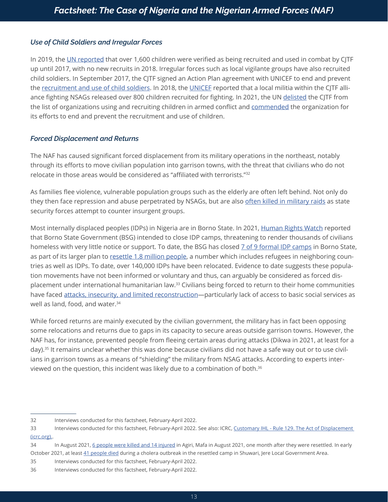#### *Use of Child Soldiers and Irregular Forces*

In 2019, the [UN reported](https://www.un.org/ga/search/view_doc.asp?symbol=S/2019/509&Lang=E&Area=UNDOC) that over 1,600 children were verified as being recruited and used in combat by CJTF up until 2017, with no new recruits in 2018. Irregular forces such as local vigilante groups have also recruited child soldiers. In September 2017, the CJTF signed an Action Plan agreement with UNICEF to end and prevent the [recruitment and use of child soldiers.](https://www.voanews.com/a/unicef-armed-militia-nigeria-child-soldiers/4612143.html) In 2018, the [UNICEF](https://reliefweb.int/report/nigeria/children-conflict-zones) reported that a local militia within the CJTF alliance fighting NSAGs released over 800 children recruited for fighting. In 2021, the UN [delisted](https://www.unicef.org/nigeria/press-releases/unicef-reacts-un-delisting-cjtf-list-organizations-using-and-recruiting-children) the CJTF from the list of organizations using and recruiting children in armed conflict and [commended](https://www.un.org/ga/search/view_doc.asp?symbol=S/2021/437&Lang=E&Area=UNDOC) the organization for its efforts to end and prevent the recruitment and use of children.

#### *Forced Displacement and Returns*

The NAF has caused significant forced displacement from its military operations in the northeast, notably through its efforts to move civilian population into garrison towns, with the threat that civilians who do not relocate in those areas would be considered as "affiliated with terrorists."<sup>32</sup>

As families flee violence, vulnerable population groups such as the elderly are often left behind. Not only do they then face repression and abuse perpetrated by NSAGs, but are also [often killed in military raids](https://www.amnesty.org/en/latest/news/2020/12/nigeria-older-people-often-an-invisible-casualty-in-conflict-with-boko-haram/) as state security forces attempt to counter insurgent groups.

Most internally displaced peoples (IDPs) in Nigeria are in Borno State. In 2021, [Human Rights Watch](https://www.hrw.org/news/2021/12/21/nigeria-halt-closure-displaced-peoples-camps) reported that Borno State Government (BSG) intended to close IDP camps, threatening to render thousands of civilians homeless with very little notice or support. To date, the BSG has closed [7 of 9 formal IDP camps](https://reliefweb.int/sites/reliefweb.int/files/resources/analysis_on_closed_camps_presenation_nutrition_sector.pdf) in Borno State, as part of its larger plan to [resettle 1.8 million people](https://dailypost.ng/2020/08/04/boko-haram-borno-to-return-1-8million-idps-refugees-to-19-communities/), a number which includes refugees in neighboring countries as well as IDPs. To date, over 140,000 IDPs have been relocated. Evidence to date suggests these population movements have not been informed or voluntary and thus, can arguably be considered as forced displacement under international humanitarian law.33 Civilians being forced to return to their home communities have faced attacks, insecurity, and limited reconstruction-particularly lack of access to basic social services as well as land, food, and water.<sup>34</sup>

While forced returns are mainly executed by the civilian government, the military has in fact been opposing some relocations and returns due to gaps in its capacity to secure areas outside garrison towns. However, the NAF has, for instance, prevented people from fleeing certain areas during attacks (Dikwa in 2021, at least for a day).35 It remains unclear whether this was done because civilians did not have a safe way out or to use civilians in garrison towns as a means of "shielding" the military from NSAG attacks. According to experts interviewed on the question, this incident was likely due to a combination of both.<sup>36</sup>

<sup>32</sup> Interviews conducted for this factsheet, February-April 2022.

<sup>33</sup> Interviews conducted for this factsheet, February-April 2022. See also: ICRC, Customary IHL - Rule 129. The Act of Displacement [\(icrc.org\)](https://ihl-databases.icrc.org/customary-ihl/eng/docindex/v1_rul_rule129#:~:text=The%2026th%20International%20Conference%20of%20the%20Red%20Cross,respect%20this%20rule.%20Evacuation%20of%20the%20civilian%20population?msclkid=45bbdc85c10111eca0fb9895f9efecb2)..

<sup>34</sup> In August 2021, [6 people were killed and 14 injured](https://www.amnesty.org/en/latest/news/2021/12/nigeria-plans-to-close-idp-camps-in-maiduguri-could-endanger-lives/) in Agiri, Mafa in August 2021, one month after they were resettled. In early October 2021, at least [41 people died](https://www.amnesty.org/en/latest/news/2021/12/nigeria-plans-to-close-idp-camps-in-maiduguri-could-endanger-lives/) during a cholera outbreak in the resettled camp in Shuwari, Jere Local Government Area.

<sup>35</sup> Interviews conducted for this factsheet, February-April 2022.

<sup>36</sup> Interviews conducted for this factsheet, February-April 2022.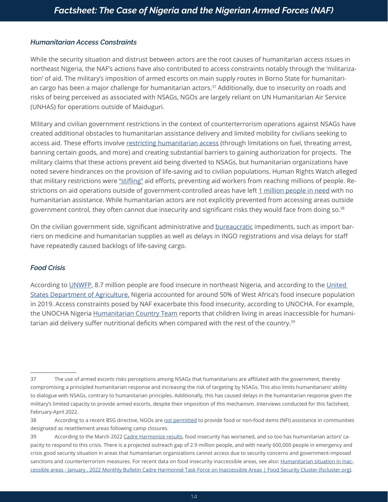#### *Humanitarian Access Constraints*

While the security situation and distrust between actors are the root causes of humanitarian access issues in northeast Nigeria, the NAF's actions have also contributed to access constraints notably through the 'militarization' of aid. The military's imposition of armed escorts on main supply routes in Borno State for humanitarian cargo has been a major challenge for humanitarian actors.<sup>37</sup> Additionally, due to insecurity on roads and risks of being perceived as associated with NSAGs, NGOs are largely reliant on UN Humanitarian Air Service (UNHAS) for operations outside of Maiduguri.

Military and civilian government restrictions in the context of counterterrorism operations against NSAGs have created additional obstacles to humanitarian assistance delivery and limited mobility for civilians seeking to access aid. These efforts involve [restricting humanitarian access](https://www.hrw.org/news/2020/03/04/nigeria-army-restrictions-stifling-aid-efforts) (through limitations on fuel, threating arrest, banning certain goods, and more) and creating substantial barriers to gaining authorization for projects. The military claims that these actions prevent aid being diverted to NSAGs, but humanitarian organizations have noted severe hindrances on the provision of life-saving aid to civilian populations. Human Rights Watch alleged that military restrictions were ["stifling"](https://www.hrw.org/news/2020/03/04/nigeria-army-restrictions-stifling-aid-efforts) aid efforts, preventing aid workers from reaching millions of people. Re-strictions on aid operations outside of government-controlled areas have left [1 million people in need](https://reliefweb.int/sites/reliefweb.int/files/resources/ocha_nga_humanitarian_response_plan_feb2021.pdf) with no humanitarian assistance. While humanitarian actors are not explicitly prevented from accessing areas outside government control, they often cannot due insecurity and significant risks they would face from doing so.<sup>38</sup>

On the civilian government side, significant administrative and [bureaucratic](https://www.humanitarianresponse.info/sites/www.humanitarianresponse.info/files/documents/files/28012019_ocha_nigeria_humanitarian_response_strategy_summary.pdf) impediments, such as import barriers on medicine and humanitarian supplies as well as delays in INGO registrations and visa delays for staff have repeatedly caused backlogs of life-saving cargo.

#### *Food Crisis*

According to [UNWFP](https://www.wfp.org/emergencies/nigeria-emergency), 8.7 million people are food insecure in northeast Nigeria, and according to the United [States Department of Agriculture,](https://reliefweb.int/report/nigeria/nigeria-s-food-problem) Nigeria accounted for around 50% of West Africa's food insecure population in 2019. Access constraints posed by NAF exacerbate this food insecurity, according to UNOCHA. For example, the UNOCHA Nigeria [Humanitarian Country Team](https://www.humanitarianresponse.info/sites/www.humanitarianresponse.info/files/documents/files/28012019_ocha_nigeria_humanitarian_response_strategy_summary.pdf) reports that children living in areas inaccessible for humanitarian aid delivery suffer nutritional deficits when compared with the rest of the country.<sup>39</sup>

<sup>37</sup> The use of armed escorts risks perceptions among NSAGs that humanitarians are affiliated with the government, thereby compromising a principled humanitarian response and increasing the risk of targeting by NSAGs. This also limits humanitarians' ability to dialogue with NSAGs, contrary to humanitarian principles. Additionally, this has caused delays in the humanitarian response given the military's limited capacity to provide armed escorts, despite their imposition of this mechanism. Interviews conducted for this factsheet, February-April 2022.

<sup>38</sup> According to a recent BSG directive, NGOs are [not permitted](https://www.withinnigeria.com/news/2021/12/09/borno-bans-ngos-from-giving-food-to-resettled-communities/?msclkid=76a6a381c71911ec9b6591bab1a55a61) to provide food or non-food items (NFI) assistance in communities designated as resettlement areas following camp closures.

<sup>39</sup> According to the March 2022 [Cadre Harmonize results,](https://fscluster.org/sites/default/files/documents/fiche-nigeria_mar_2022_final_pdf.pdf) food insecurity has worsened, and so too has humanitarian actors' capacity to respond to this crisis. There is a projected outreach gap of 2.9 million people, and with nearly 600,000 people in emergency and crisis good security situation in areas that humanitarian organizations cannot access due to security concerns and government-imposed sanctions and counterterrorism measures. For recent data on food insecurity inaccessible areas, see also: [Humanitarian situation in Inac](https://fscluster.org/nigeria/document/humanitarian-situation-inaccessible-1)[cessible areas - January , 2022 Monthly Bulletin Cadre Harmonisé Task Force on Inaccessible Areas | Food Security Cluster \(fscluster.org\)](https://fscluster.org/nigeria/document/humanitarian-situation-inaccessible-1).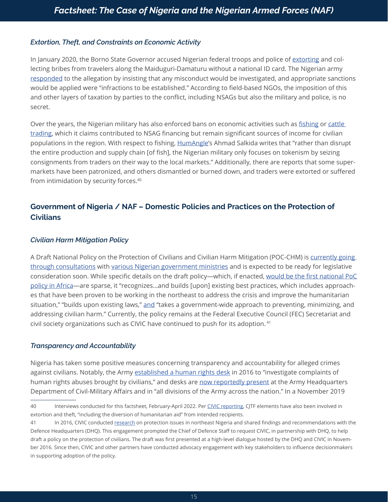#### *Extortion, Theft, and Constraints on Economic Activity*

In January 2020, the Borno State Governor accused Nigerian federal troops and police of [extorting](https://www.premiumtimesng.com/news/headlines/371382-just-in-furious-borno-governor-accuses-soldiers-of-extortion.html) and collecting bribes from travelers along the Maiduguri-Damaturu without a national ID card. The Nigerian army [responded](https://army.mil.ng/?p=3381) to the allegation by insisting that any misconduct would be investigated, and appropriate sanctions would be applied were "infractions to be established." According to field-based NGOs, the imposition of this and other layers of taxation by parties to the conflict, including NSAGs but also the military and police, is no secret.

Over the years, the Nigerian military has also enforced bans on economic activities such as [fishing](https://guardian.ng/news/army-bans-commercial-transportation-sale-of-fish-in-borno/) or cattle [trading](https://www.bbc.com/news/world-africa-35727473), which it claims contributed to NSAG financing but remain significant sources of income for civilian populations in the region. With respect to fishing, [HumAngle'](https://humangle.org/how-boko-haram-sustains-operations-through-international-trade-in-smoked-fish/)s Ahmad Salkida writes that "rather than disrupt the entire production and supply chain [of fish], the Nigerian military only focuses on tokenism by seizing consignments from traders on their way to the local markets." Additionally, there are reports that some supermarkets have been patronized, and others dismantled or burned down, and traders were extorted or suffered from intimidation by security forces.<sup>40</sup>

#### **Government of Nigeria / NAF – Domestic Policies and Practices on the Protection of Civilians**

#### *Civilian Harm Mitigation Policy*

A Draft National Policy on the Protection of Civilians and Civilian Harm Mitigation (POC-CHM) [is currently going](https://www.thisdaylive.com/index.php/2021/10/18/sustaining-campaign-for-equitable-protection-of-civilians-in-armed-conflicts/)  [through consultations](https://www.thisdaylive.com/index.php/2021/10/18/sustaining-campaign-for-equitable-protection-of-civilians-in-armed-conflicts/) with [various Nigerian government ministries](https://www.vanguardngr.com/2021/11/interior-ministry-to-partner-twg-on-protection-of-civilians-civil-harm-litigation-aregbesola/) and is expected to be ready for legislative consideration soon. While specific details on the draft policy—which, if enacted, [would be the first national PoC](https://www.thisdaylive.com/index.php/2021/10/18/sustaining-campaign-for-equitable-protection-of-civilians-in-armed-conflicts/)  [policy in Africa](https://www.thisdaylive.com/index.php/2021/10/18/sustaining-campaign-for-equitable-protection-of-civilians-in-armed-conflicts/)-are sparse, it "recognizes...and builds [upon] existing best practices, which includes approaches that have been proven to be working in the northeast to address the crisis and improve the humanitarian situation," "builds upon existing laws," [and](https://civiliansinconflict.org/press-releases/draft-poc-policy-nigeria/) "takes a government-wide approach to preventing, minimizing, and addressing civilian harm." Currently, the policy remains at the Federal Executive Council (FEC) Secretariat and civil society organizations such as CIVIC have continued to push for its adoption. <sup>41</sup>

#### *Transparency and Accountability*

Nigeria has taken some positive measures concerning transparency and accountability for alleged crimes against civilians. Notably, the Army [established a human rights desk](https://www.state.gov/reports/2020-country-reports-on-human-rights-practices/nigeria/) in 2016 to "investigate complaints of human rights abuses brought by civilians," and desks are [now reportedly present](https://guardian.ng/opinion/an-army-in-defense-of-human-rights/) at the Army Headquarters Department of Civil-Military Affairs and in "all divisions of the Army across the nation." In a November 2019

<sup>40</sup> Interviews conducted for this factsheet, February-April 2022. Per [CIVIC reporting](https://civiliansinconflict.org/wp-content/uploads/2018/06/2018.06.CJTF-Report.Africa-Program.Web_..pdf), CJTF elements have also been involved in extortion and theft, "including the diversion of humanitarian aid" from intended recipients.

<sup>41</sup> In 2016, CIVIC conducted [research](https://civiliansinconflict.org/publications/research/living-nigerias-six-year-insurgency/) on protection issues in northeast Nigeria and shared findings and recommendations with the Defence Headquarters (DHQ). This engagement prompted the Chief of Defence Staff to request CIVIC, in partnership with DHQ, to help draft a policy on the protection of civilians. The draft was first presented at a high-level dialogue hosted by the DHQ and CIVIC in November 2016. Since then, CIVIC and other partners have conducted advocacy engagement with key stakeholders to influence decisionmakers in supporting adoption of the policy.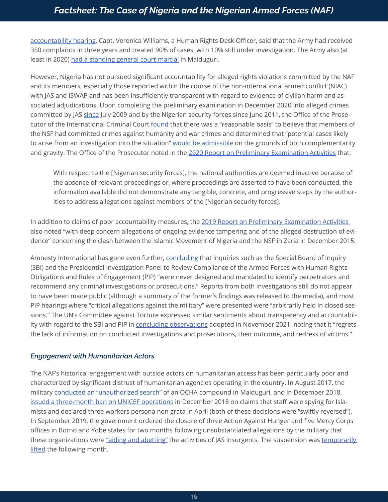[accountability hearing](https://twentytendaily.com/to-protect-or-oppress-the-culture-of-military-phobia-in-nigeria/), Capt. Veronica Williams, a Human Rights Desk Officer, said that the Army had received 350 complaints in three years and treated 90% of cases, with 10% still under investigation. The Army also (at least in 2020) [had a standing general court-martial](https://www.state.gov/reports/2020-country-reports-on-human-rights-practices/nigeria/) in Maiduguri.

However, Nigeria has not pursued significant accountability for alleged rights violations committed by the NAF and its members, especially those reported within the course of the non-international armed conflict (NIAC) with JAS and ISWAP and has been insufficiently transparent with regard to evidence of civilian harm and associated adjudications. Upon completing the preliminary examination in December 2020 into alleged crimes committed by JAS [since](https://www.icc-cpi.int/nigeria) July 2009 and by the Nigerian security forces since June 2011, the Office of the Prosecutor of the International Criminal Court [found](https://www.icc-cpi.int/Pages/item.aspx?name=201211-prosecutor-statement) that there was a "reasonable basis" to believe that members of the NSF had committed crimes against humanity and war crimes and determined that "potential cases likely to arise from an investigation into the situation" [would be admissible](https://www.icc-cpi.int/itemsDocuments/2020-PE/2020-pe-report-eng.pdf) on the grounds of both complementarity and gravity. The Office of the Prosecutor noted in the [2020 Report on Preliminary Examination Activities](https://www.icc-cpi.int/itemsDocuments/2020-PE/2020-pe-report-eng.pdf) that:

With respect to the [Nigerian security forces], the national authorities are deemed inactive because of the absence of relevant proceedings or, where proceedings are asserted to have been conducted, the information available did not demonstrate any tangible, concrete, and progressive steps by the authorities to address allegations against members of the [Nigerian security forces].

In addition to claims of poor accountability measures, the [2019 Report on Preliminary Examination Activities](https://www.icc-cpi.int/itemsDocuments/191205-rep-otp-PE.pdf) also noted "with deep concern allegations of ongoing evidence tampering and of the alleged destruction of evidence" concerning the clash between the Islamic Movement of Nigeria and the NSF in Zaria in December 2015.

Amnesty International has gone even further, [concluding](https://www.amnesty.org/en/documents/afr44/1475/2019/en/) that inquiries such as the Special Board of Inquiry (SBI) and the Presidential Investigation Panel to Review Compliance of the Armed Forces with Human Rights Obligations and Rules of Engagement (PIP) "were never designed and mandated to identify perpetrators and recommend any criminal investigations or prosecutions." Reports from both investigations still do not appear to have been made public (although a summary of the former's findings was released to the media), and most PIP hearings where "critical allegations against the military" were presented were "arbitrarily held in closed sessions." The UN's Committee against Torture expressed similar sentiments about transparency and accountability with regard to the SBI and PIP in [concluding observations](https://tbinternet.ohchr.org/Treaties/CAT/Shared%20Documents/NGA/CAT_C_NGA_COAR_1_47270_E.pdf) adopted in November 2021, noting that it "regrets the lack of information on conducted investigations and prosecutions, their outcome, and redress of victims."

#### *Engagement with Humanitarian Actors*

The NAF's historical engagement with outside actors on humanitarian access has been particularly poor and characterized by significant distrust of humanitarian agencies operating in the country. In August 2017, the military [conducted an "unauthorized search"](https://www.voanews.com/a/nigerian-army-raid-un-compound-maiduguri/3981639.html) of an OCHA compound in Maiduguri, and in December 2018, [issued a three-month ban on UNICEF operations](https://www.bbc.com/news/world-africa-46575449) in December 2018 on claims that staff were spying for Islamists and declared three workers persona non grata in April (both of these decisions were "swiftly reversed"). In September 2019, the government ordered the closure of three Action Against Hunger and five Mercy Corps offices in Borno and Yobe states for two months following unsubstantiated allegations by the military that these organizations were ["aiding and abetting"](https://www.premiumtimesng.com/news/top-news/360370-boko-haram-nigerian-government-lifts-ban-on-mercy-corps-action-against-hunger.html) the activities of JAS insurgents. The suspension was [temporarily](https://thenationonlineng.net/breaking-fg-lifts-ban-on-mercy-corps-action-against-hunger/)  [lifted](https://thenationonlineng.net/breaking-fg-lifts-ban-on-mercy-corps-action-against-hunger/) the following month.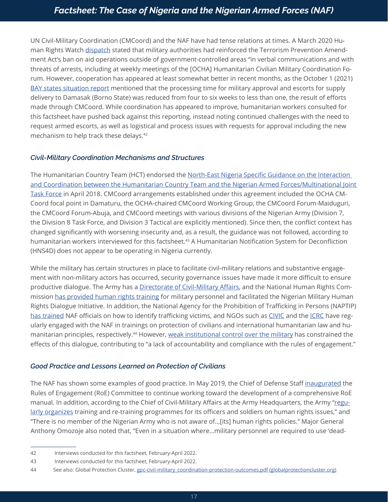UN Civil-Military Coordination (CMCoord) and the NAF have had tense relations at times. A March 2020 Human Rights Watch [dispatch](https://www.hrw.org/news/2020/03/04/nigeria-army-restrictions-stifling-aid-efforts) stated that military authorities had reinforced the Terrorism Prevention Amendment Act's ban on aid operations outside of government-controlled areas "in verbal communications and with threats of arrests, including at weekly meetings of the [OCHA] Humanitarian Civilian Military Coordination Forum. However, cooperation has appeared at least somewhat better in recent months, as the October 1 (2021) [BAY states situation report](https://reliefweb.int/sites/reliefweb.int/files/resources/ocha_nga_bay_state_sitrep_08102021.pdf) mentioned that the processing time for military approval and escorts for supply delivery to Damasak (Borno State) was reduced from four to six weeks to less than one, the result of efforts made through CMCoord. While coordination has appeared to improve, humanitarian workers consulted for this factsheet have pushed back against this reporting, instead noting continued challenges with the need to request armed escorts, as well as logistical and process issues with requests for approval including the new mechanism to help track these delays.<sup>42</sup>

#### *Civil-Military Coordination Mechanisms and Structures*

The Humanitarian Country Team (HCT) endorsed the [North-East Nigeria Specific Guidance on the Interaction](https://drive.google.com/file/d/16aiJABl9_DR06mv6BatgLC-p89sCx6gU/view)  [and Coordination between the Humanitarian Country Team and the Nigerian Armed Forces/Multinational Joint](https://drive.google.com/file/d/16aiJABl9_DR06mv6BatgLC-p89sCx6gU/view)  [Task Force](https://drive.google.com/file/d/16aiJABl9_DR06mv6BatgLC-p89sCx6gU/view) in April 2018. CMCoord arrangements established under this agreement included the OCHA CM-Coord focal point in Damaturu, the OCHA-chaired CMCoord Working Group, the CMCoord Forum-Maiduguri, the CMCoord Forum-Abuja, and CMCoord meetings with various divisions of the Nigerian Army (Division 7, the Division 8 Task Force, and Division 3 Tactical are explicitly mentioned). Since then, the conflict context has changed significantly with worsening insecurity and, as a result, the guidance was not followed, according to humanitarian workers interviewed for this factsheet.43 A Humanitarian Notification System for Deconfliction (HNS4D) does not appear to be operating in Nigeria currently.

While the military has certain structures in place to facilitate civil-military relations and substantive engagement with non-military actors has occurred, security governance issues have made it more difficult to ensure productive dialogue. The Army has a [Directorate of Civil-Military Affairs](https://army.mil.ng/?page_id=483), and the National Human Rights Commission [has provided human rights training](https://army.mil.ng/?p=2793) for military personnel and facilitated the Nigerian Military Human Rights Dialogue Initiative. In addition, the National Agency for the Prohibition of Trafficking in Persons (NAPTIP) [has trained](https://www.state.gov/reports/2021-trafficking-in-persons-report/nigeria/) NAF officials on how to identify trafficking victims, and NGOs such as [CIVIC](https://www.thisdaylive.com/index.php/2021/10/18/sustaining-campaign-for-equitable-protection-of-civilians-in-armed-conflicts/) and the [ICRC](https://www.icrc.org/en/download/file/105396/2018_ecowas_ihl_meeting_publication.pdf) have regularly engaged with the NAF in trainings on protection of civilians and international humanitarian law and humanitarian principles, respectively.<sup>44</sup> However, [weak institutional control over the military](https://theconversation.com/how-using-the-military-in-nigeria-is-causing-not-solving-problems-116676) has constrained the effects of this dialogue, contributing to "a lack of accountability and compliance with the rules of engagement."

#### *Good Practice and Lessons Learned on Protection of Civilians*

The NAF has shown some examples of good practice. In May 2019, the Chief of Defense Staff [inaugurated](https://defenceinfo.mil.ng/armed-forces-of-nigeria-committed-to-protection-of-human-rights-cds) the Rules of Engagement (RoE) Committee to continue working toward the development of a comprehensive RoE manual. In addition, according to the Chief of Civil-Military Affairs at the Army Headquarters, the Army "[regu](https://guardian.ng/opinion/an-army-in-defense-of-human-rights/)[larly organizes](https://guardian.ng/opinion/an-army-in-defense-of-human-rights/) training and re-training programmes for its officers and soldiers on human rights issues," and "There is no member of the Nigerian Army who is not aware of…[its] human rights policies." Major General Anthony Omozoje also noted that, "Even in a situation where…military personnel are required to use 'dead-

<sup>42</sup> Interviews conducted for this factsheet, February-April 2022.

<sup>43</sup> Interviews conducted for this factsheet, February-April 2022.

<sup>44</sup> See also: Global Protection Cluster, [gpc-civil-military\\_coordination-protection-outcomes.pdf \(globalprotectioncluster.org\)](https://nam10.safelinks.protection.outlook.com/?url=https%3A%2F%2Fwww.globalprotectioncluster.org%2F_assets%2Ffiles%2Fgpc-civil-military_coordination-protection-outcomes.pdf&data=05%7C01%7Cashenry%40interaction.org%7Cc7634df5cd1242b8818508da2e02fd63%7C1d364442a49d4c2198dc328a914d38a5%7C0%7C0%7C637872887618251926%7CUnknown%7CTWFpbGZsb3d8eyJWIjoiMC4wLjAwMDAiLCJQIjoiV2luMzIiLCJBTiI6Ik1haWwiLCJXVCI6Mn0%3D%7C3000%7C%7C%7C&sdata=%2FKOzjR6oG6pAb9CFBoFYe2JWdzxm1gMafo3wFC8p%2BiQ%3D&reserved=0)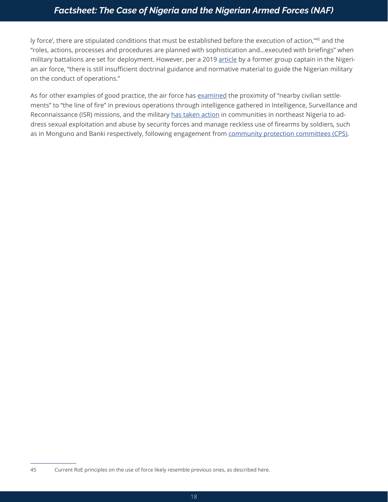ly force', there are stipulated conditions that must be established before the execution of action,"<sup>45</sup> and the "roles, actions, processes and procedures are planned with sophistication and…executed with briefings" when military battalions are set for deployment. However, per a 2019 [article](https://www.cfr.org/blog/making-military-reform-and-civilian-oversight-reality-nigeria) by a former group captain in the Nigerian air force, "there is still insufficient doctrinal guidance and normative material to guide the Nigerian military on the conduct of operations."

As for other examples of good practice, the air force has [examined](https://www.thisdaylive.com/index.php/2021/10/01/air-force-probes-air-strike-in-yobe-denies-killing-20-fishermen-in-lake-chad/) the proximity of "nearby civilian settlements" to "the line of fire" in previous operations through intelligence gathered in Intelligence, Surveillance and Reconnaissance (ISR) missions, and the military [has taken action](https://civiliansinconflict.org/wp-content/uploads/2020/10/Nigeria-LL.pdf) in communities in northeast Nigeria to address sexual exploitation and abuse by security forces and manage reckless use of firearms by soldiers, such as in Monguno and Banki respectively, following engagement from [community protection committees \(CPS\)](https://civiliansinconflict.org/wp-content/uploads/2020/10/Nigeria-LL.pdf).

45 Current RoE principles on the use of force likely resemble previous ones, as described [here](http://saharareporters.com/2015/11/12/internal-security-army-clarifies-rules-engagement).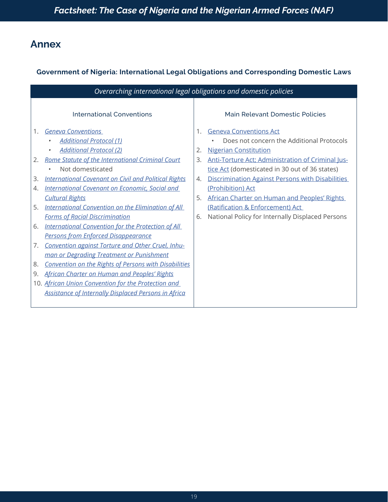## **Annex**

#### **Government of Nigeria: International Legal Obligations and Corresponding Domestic Laws**

|                                                             | Overarching international legal obligations and domestic policies |    |                                                   |  |  |  |  |
|-------------------------------------------------------------|-------------------------------------------------------------------|----|---------------------------------------------------|--|--|--|--|
|                                                             | <b>International Conventions</b>                                  |    | <b>Main Relevant Domestic Policies</b>            |  |  |  |  |
| 1.                                                          | <b>Geneva Conventions</b>                                         | 1. | <b>Geneva Conventions Act</b>                     |  |  |  |  |
|                                                             | <b>Additional Protocol (1)</b>                                    |    | Does not concern the Additional Protocols         |  |  |  |  |
|                                                             | <b>Additional Protocol (2)</b>                                    | 2. | <b>Nigerian Constitution</b>                      |  |  |  |  |
| 2.                                                          | Rome Statute of the International Criminal Court                  | 3. | Anti-Torture Act; Administration of Criminal Jus- |  |  |  |  |
|                                                             | Not domesticated<br>$\bullet$                                     |    | tice Act (domesticated in 30 out of 36 states)    |  |  |  |  |
| З.                                                          | <b>International Covenant on Civil and Political Rights</b>       | 4. | Discrimination Against Persons with Disabilities  |  |  |  |  |
| 4.                                                          | <b>International Covenant on Economic, Social and</b>             |    | (Prohibition) Act                                 |  |  |  |  |
|                                                             | <b>Cultural Rights</b>                                            | 5. | African Charter on Human and Peoples' Rights      |  |  |  |  |
| 5.                                                          | <b>International Convention on the Elimination of All</b>         |    | (Ratification & Enforcement) Act                  |  |  |  |  |
|                                                             | <b>Forms of Racial Discrimination</b>                             | 6. | National Policy for Internally Displaced Persons  |  |  |  |  |
| 6.                                                          | <b>International Convention for the Protection of All</b>         |    |                                                   |  |  |  |  |
|                                                             | <b>Persons from Enforced Disappearance</b>                        |    |                                                   |  |  |  |  |
| 7.                                                          | Convention against Torture and Other Cruel, Inhu-                 |    |                                                   |  |  |  |  |
|                                                             | man or Degrading Treatment or Punishment                          |    |                                                   |  |  |  |  |
| 8.                                                          | Convention on the Rights of Persons with Disabilities             |    |                                                   |  |  |  |  |
| 9.                                                          | African Charter on Human and Peoples' Rights                      |    |                                                   |  |  |  |  |
| 10. African Union Convention for the Protection and         |                                                                   |    |                                                   |  |  |  |  |
| <b>Assistance of Internally Displaced Persons in Africa</b> |                                                                   |    |                                                   |  |  |  |  |
|                                                             |                                                                   |    |                                                   |  |  |  |  |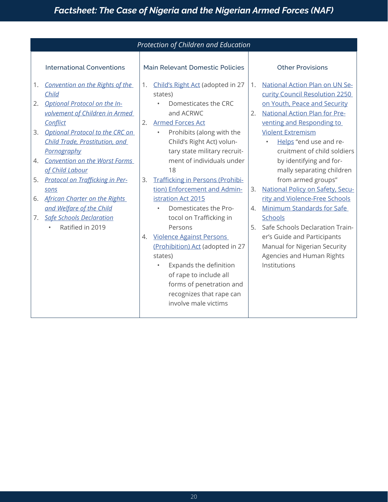|                | Protection of Children and Education                                                                                                                             |                                                                                                                                                                                                                                                  |          |                                                                                                                                                                                                   |  |  |  |
|----------------|------------------------------------------------------------------------------------------------------------------------------------------------------------------|--------------------------------------------------------------------------------------------------------------------------------------------------------------------------------------------------------------------------------------------------|----------|---------------------------------------------------------------------------------------------------------------------------------------------------------------------------------------------------|--|--|--|
|                | <b>International Conventions</b>                                                                                                                                 | Main Relevant Domestic Policies                                                                                                                                                                                                                  |          | <b>Other Provisions</b>                                                                                                                                                                           |  |  |  |
| 1.<br>2.<br>3. | Convention on the Rights of the<br>Child<br><b>Optional Protocol on the In-</b><br>volvement of Children in Armed<br>Conflict<br>Optional Protocol to the CRC on | Child's Right Act (adopted in 27<br>1.<br>states)<br>Domesticates the CRC<br>and ACRWC<br><b>Armed Forces Act</b><br>2.<br>Prohibits (along with the<br>$\bullet$                                                                                | 1.<br>2. | National Action Plan on UN Se-<br>curity Council Resolution 2250<br>on Youth, Peace and Security<br><b>National Action Plan for Pre-</b><br>venting and Responding to<br><b>Violent Extremism</b> |  |  |  |
|                | Child Trade, Prostitution, and<br>Pornography                                                                                                                    | Child's Right Act) volun-<br>tary state military recruit-                                                                                                                                                                                        |          | Helps "end use and re-<br>$\bullet$<br>cruitment of child soldiers                                                                                                                                |  |  |  |
| 4.             | <b>Convention on the Worst Forms</b><br>of Child Labour                                                                                                          | ment of individuals under<br>18                                                                                                                                                                                                                  |          | by identifying and for-<br>mally separating children                                                                                                                                              |  |  |  |
| 5.<br>6.       | Protocol on Trafficking in Per-<br>sons<br><b>African Charter on the Rights</b>                                                                                  | <b>Trafficking in Persons (Prohibi-</b><br>3.<br>tion) Enforcement and Admin-<br>istration Act 2015                                                                                                                                              | 3.       | from armed groups"<br>National Policy on Safety, Secu-<br>rity and Violence-Free Schools                                                                                                          |  |  |  |
| 7.             | and Welfare of the Child<br><b>Safe Schools Declaration</b>                                                                                                      | Domesticates the Pro-<br>$\bullet$<br>tocol on Trafficking in                                                                                                                                                                                    | 4.       | <b>Minimum Standards for Safe</b><br>Schools                                                                                                                                                      |  |  |  |
|                | Ratified in 2019                                                                                                                                                 | Persons<br><b>Violence Against Persons</b><br>4.<br>(Prohibition) Act (adopted in 27<br>states)<br>Expands the definition<br>$\bullet$<br>of rape to include all<br>forms of penetration and<br>recognizes that rape can<br>involve male victims | 5.       | Safe Schools Declaration Train-<br>er's Guide and Participants<br>Manual for Nigerian Security<br>Agencies and Human Rights<br>Institutions                                                       |  |  |  |